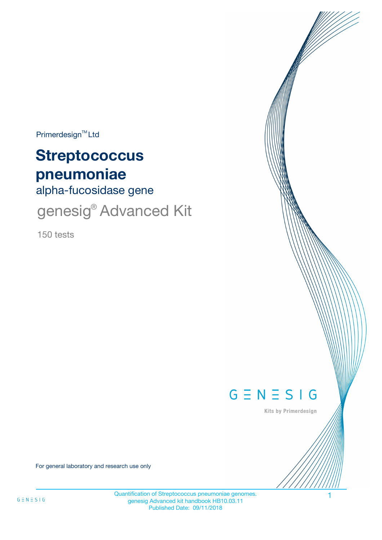$Primerdesign^{\text{TM}}$ Ltd

# **Streptococcus pneumoniae**

alpha-fucosidase gene

genesig<sup>®</sup> Advanced Kit

150 tests



Kits by Primerdesign

For general laboratory and research use only

Quantification of Streptococcus pneumoniae genomes. genesig Advanced kit handbook HB10.03.11 Published Date: 09/11/2018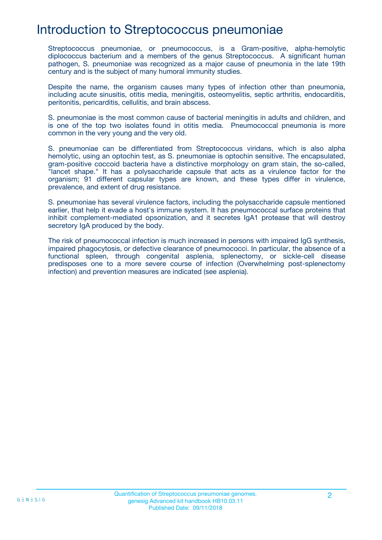## Introduction to Streptococcus pneumoniae

Streptococcus pneumoniae, or pneumococcus, is a Gram-positive, alpha-hemolytic diplococcus bacterium and a members of the genus Streptococcus. A significant human pathogen, S. pneumoniae was recognized as a major cause of pneumonia in the late 19th century and is the subject of many humoral immunity studies.

Despite the name, the organism causes many types of infection other than pneumonia, including acute sinusitis, otitis media, meningitis, osteomyelitis, septic arthritis, endocarditis, peritonitis, pericarditis, cellulitis, and brain abscess.

S. pneumoniae is the most common cause of bacterial meningitis in adults and children, and is one of the top two isolates found in otitis media. Pneumococcal pneumonia is more common in the very young and the very old.

S. pneumoniae can be differentiated from Streptococcus viridans, which is also alpha hemolytic, using an optochin test, as S. pneumoniae is optochin sensitive. The encapsulated, gram-positive coccoid bacteria have a distinctive morphology on gram stain, the so-called, "lancet shape." It has a polysaccharide capsule that acts as a virulence factor for the organism; 91 different capsular types are known, and these types differ in virulence, prevalence, and extent of drug resistance.

S. pneumoniae has several virulence factors, including the polysaccharide capsule mentioned earlier, that help it evade a host's immune system. It has pneumococcal surface proteins that inhibit complement-mediated opsonization, and it secretes IgA1 protease that will destroy secretory IgA produced by the body.

The risk of pneumococcal infection is much increased in persons with impaired IgG synthesis, impaired phagocytosis, or defective clearance of pneumococci. In particular, the absence of a functional spleen, through congenital asplenia, splenectomy, or sickle-cell disease predisposes one to a more severe course of infection (Overwhelming post-splenectomy infection) and prevention measures are indicated (see asplenia).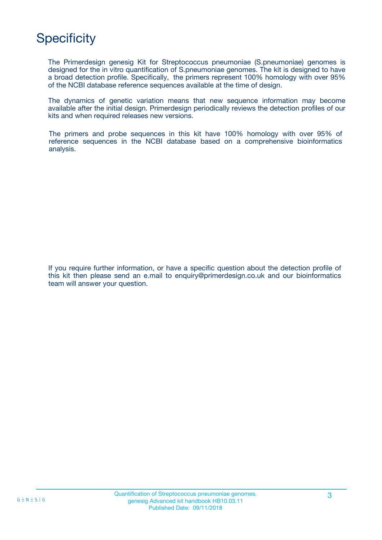# **Specificity**

The Primerdesign genesig Kit for Streptococcus pneumoniae (S.pneumoniae) genomes is designed for the in vitro quantification of S.pneumoniae genomes. The kit is designed to have a broad detection profile. Specifically, the primers represent 100% homology with over 95% of the NCBI database reference sequences available at the time of design.

The dynamics of genetic variation means that new sequence information may become available after the initial design. Primerdesign periodically reviews the detection profiles of our kits and when required releases new versions.

The primers and probe sequences in this kit have 100% homology with over 95% of reference sequences in the NCBI database based on a comprehensive bioinformatics analysis.

If you require further information, or have a specific question about the detection profile of this kit then please send an e.mail to enquiry@primerdesign.co.uk and our bioinformatics team will answer your question.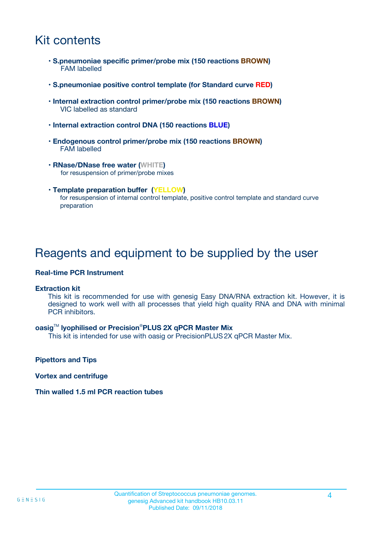# Kit contents

- **S.pneumoniae specific primer/probe mix (150 reactions BROWN)** FAM labelled
- **S.pneumoniae positive control template (for Standard curve RED)**
- **Internal extraction control primer/probe mix (150 reactions BROWN)** VIC labelled as standard
- **Internal extraction control DNA (150 reactions BLUE)**
- **Endogenous control primer/probe mix (150 reactions BROWN)** FAM labelled
- **RNase/DNase free water (WHITE)** for resuspension of primer/probe mixes
- **Template preparation buffer (YELLOW)** for resuspension of internal control template, positive control template and standard curve preparation

### Reagents and equipment to be supplied by the user

#### **Real-time PCR Instrument**

#### **Extraction kit**

This kit is recommended for use with genesig Easy DNA/RNA extraction kit. However, it is designed to work well with all processes that yield high quality RNA and DNA with minimal PCR inhibitors.

#### **oasig**TM **lyophilised or Precision**®**PLUS 2X qPCR Master Mix**

This kit is intended for use with oasig or PrecisionPLUS2X qPCR Master Mix.

**Pipettors and Tips**

**Vortex and centrifuge**

#### **Thin walled 1.5 ml PCR reaction tubes**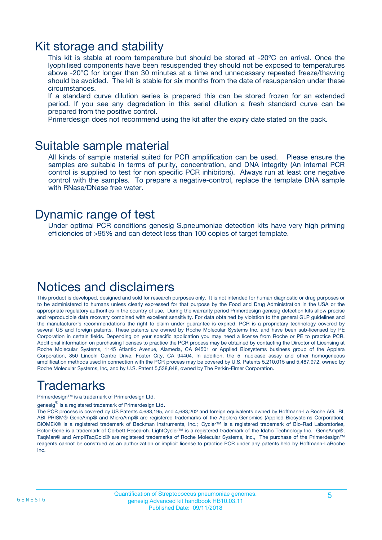### Kit storage and stability

This kit is stable at room temperature but should be stored at -20ºC on arrival. Once the lyophilised components have been resuspended they should not be exposed to temperatures above -20°C for longer than 30 minutes at a time and unnecessary repeated freeze/thawing should be avoided. The kit is stable for six months from the date of resuspension under these circumstances.

If a standard curve dilution series is prepared this can be stored frozen for an extended period. If you see any degradation in this serial dilution a fresh standard curve can be prepared from the positive control.

Primerdesign does not recommend using the kit after the expiry date stated on the pack.

### Suitable sample material

All kinds of sample material suited for PCR amplification can be used. Please ensure the samples are suitable in terms of purity, concentration, and DNA integrity (An internal PCR control is supplied to test for non specific PCR inhibitors). Always run at least one negative control with the samples. To prepare a negative-control, replace the template DNA sample with RNase/DNase free water.

### Dynamic range of test

Under optimal PCR conditions genesig S.pneumoniae detection kits have very high priming efficiencies of >95% and can detect less than 100 copies of target template.

### Notices and disclaimers

This product is developed, designed and sold for research purposes only. It is not intended for human diagnostic or drug purposes or to be administered to humans unless clearly expressed for that purpose by the Food and Drug Administration in the USA or the appropriate regulatory authorities in the country of use. During the warranty period Primerdesign genesig detection kits allow precise and reproducible data recovery combined with excellent sensitivity. For data obtained by violation to the general GLP guidelines and the manufacturer's recommendations the right to claim under guarantee is expired. PCR is a proprietary technology covered by several US and foreign patents. These patents are owned by Roche Molecular Systems Inc. and have been sub-licensed by PE Corporation in certain fields. Depending on your specific application you may need a license from Roche or PE to practice PCR. Additional information on purchasing licenses to practice the PCR process may be obtained by contacting the Director of Licensing at Roche Molecular Systems, 1145 Atlantic Avenue, Alameda, CA 94501 or Applied Biosystems business group of the Applera Corporation, 850 Lincoln Centre Drive, Foster City, CA 94404. In addition, the 5' nuclease assay and other homogeneous amplification methods used in connection with the PCR process may be covered by U.S. Patents 5,210,015 and 5,487,972, owned by Roche Molecular Systems, Inc, and by U.S. Patent 5,538,848, owned by The Perkin-Elmer Corporation.

# Trademarks

Primerdesign™ is a trademark of Primerdesign Ltd.

genesig $^\circledR$  is a registered trademark of Primerdesign Ltd.

The PCR process is covered by US Patents 4,683,195, and 4,683,202 and foreign equivalents owned by Hoffmann-La Roche AG. BI, ABI PRISM® GeneAmp® and MicroAmp® are registered trademarks of the Applera Genomics (Applied Biosystems Corporation). BIOMEK® is a registered trademark of Beckman Instruments, Inc.; iCycler™ is a registered trademark of Bio-Rad Laboratories, Rotor-Gene is a trademark of Corbett Research. LightCycler™ is a registered trademark of the Idaho Technology Inc. GeneAmp®, TaqMan® and AmpliTaqGold® are registered trademarks of Roche Molecular Systems, Inc., The purchase of the Primerdesign™ reagents cannot be construed as an authorization or implicit license to practice PCR under any patents held by Hoffmann-LaRoche Inc.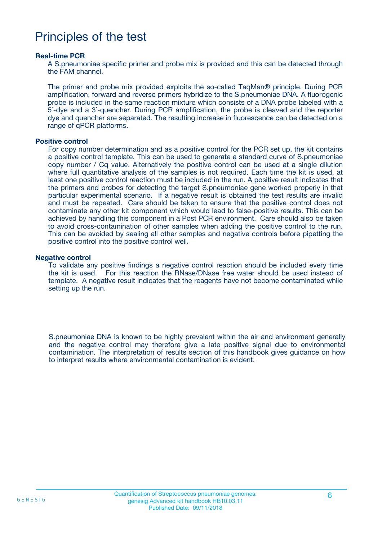## Principles of the test

#### **Real-time PCR**

A S.pneumoniae specific primer and probe mix is provided and this can be detected through the FAM channel.

The primer and probe mix provided exploits the so-called TaqMan® principle. During PCR amplification, forward and reverse primers hybridize to the S.pneumoniae DNA. A fluorogenic probe is included in the same reaction mixture which consists of a DNA probe labeled with a 5`-dye and a 3`-quencher. During PCR amplification, the probe is cleaved and the reporter dye and quencher are separated. The resulting increase in fluorescence can be detected on a range of qPCR platforms.

#### **Positive control**

For copy number determination and as a positive control for the PCR set up, the kit contains a positive control template. This can be used to generate a standard curve of S.pneumoniae copy number / Cq value. Alternatively the positive control can be used at a single dilution where full quantitative analysis of the samples is not required. Each time the kit is used, at least one positive control reaction must be included in the run. A positive result indicates that the primers and probes for detecting the target S.pneumoniae gene worked properly in that particular experimental scenario. If a negative result is obtained the test results are invalid and must be repeated. Care should be taken to ensure that the positive control does not contaminate any other kit component which would lead to false-positive results. This can be achieved by handling this component in a Post PCR environment. Care should also be taken to avoid cross-contamination of other samples when adding the positive control to the run. This can be avoided by sealing all other samples and negative controls before pipetting the positive control into the positive control well.

#### **Negative control**

To validate any positive findings a negative control reaction should be included every time the kit is used. For this reaction the RNase/DNase free water should be used instead of template. A negative result indicates that the reagents have not become contaminated while setting up the run.

S.pneumoniae DNA is known to be highly prevalent within the air and environment generally and the negative control may therefore give a late positive signal due to environmental contamination. The interpretation of results section of this handbook gives guidance on how to interpret results where environmental contamination is evident.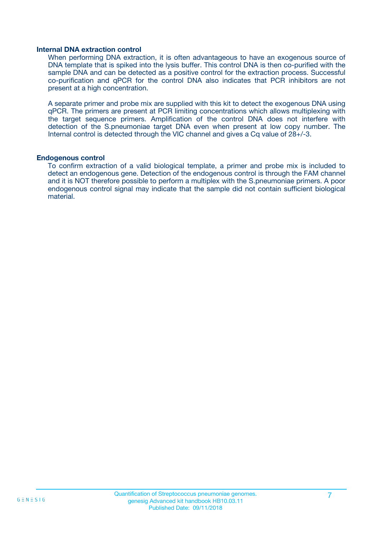#### **Internal DNA extraction control**

When performing DNA extraction, it is often advantageous to have an exogenous source of DNA template that is spiked into the lysis buffer. This control DNA is then co-purified with the sample DNA and can be detected as a positive control for the extraction process. Successful co-purification and qPCR for the control DNA also indicates that PCR inhibitors are not present at a high concentration.

A separate primer and probe mix are supplied with this kit to detect the exogenous DNA using qPCR. The primers are present at PCR limiting concentrations which allows multiplexing with the target sequence primers. Amplification of the control DNA does not interfere with detection of the S.pneumoniae target DNA even when present at low copy number. The Internal control is detected through the VIC channel and gives a Cq value of 28+/-3.

#### **Endogenous control**

To confirm extraction of a valid biological template, a primer and probe mix is included to detect an endogenous gene. Detection of the endogenous control is through the FAM channel and it is NOT therefore possible to perform a multiplex with the S.pneumoniae primers. A poor endogenous control signal may indicate that the sample did not contain sufficient biological material.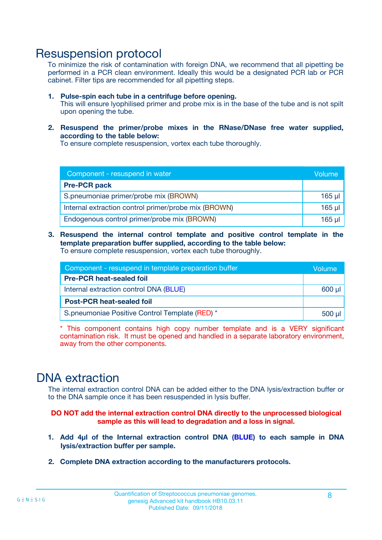### Resuspension protocol

To minimize the risk of contamination with foreign DNA, we recommend that all pipetting be performed in a PCR clean environment. Ideally this would be a designated PCR lab or PCR cabinet. Filter tips are recommended for all pipetting steps.

- **1. Pulse-spin each tube in a centrifuge before opening.** This will ensure lyophilised primer and probe mix is in the base of the tube and is not spilt upon opening the tube.
- **2. Resuspend the primer/probe mixes in the RNase/DNase free water supplied, according to the table below:**

To ensure complete resuspension, vortex each tube thoroughly.

| Component - resuspend in water                       |          |  |
|------------------------------------------------------|----------|--|
| <b>Pre-PCR pack</b>                                  |          |  |
| S.pneumoniae primer/probe mix (BROWN)                |          |  |
| Internal extraction control primer/probe mix (BROWN) | $165$ µl |  |
| Endogenous control primer/probe mix (BROWN)          | $165$ µl |  |

**3. Resuspend the internal control template and positive control template in the template preparation buffer supplied, according to the table below:** To ensure complete resuspension, vortex each tube thoroughly.

| Component - resuspend in template preparation buffer |  |  |  |
|------------------------------------------------------|--|--|--|
| <b>Pre-PCR heat-sealed foil</b>                      |  |  |  |
| Internal extraction control DNA (BLUE)               |  |  |  |
| <b>Post-PCR heat-sealed foil</b>                     |  |  |  |
| S.pneumoniae Positive Control Template (RED) *       |  |  |  |

\* This component contains high copy number template and is a VERY significant contamination risk. It must be opened and handled in a separate laboratory environment, away from the other components.

### DNA extraction

The internal extraction control DNA can be added either to the DNA lysis/extraction buffer or to the DNA sample once it has been resuspended in lysis buffer.

**DO NOT add the internal extraction control DNA directly to the unprocessed biological sample as this will lead to degradation and a loss in signal.**

- **1. Add 4µl of the Internal extraction control DNA (BLUE) to each sample in DNA lysis/extraction buffer per sample.**
- **2. Complete DNA extraction according to the manufacturers protocols.**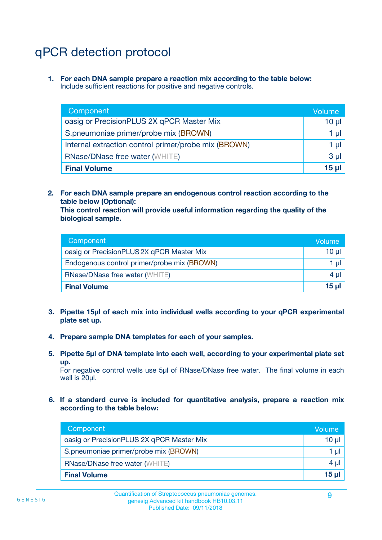# qPCR detection protocol

**1. For each DNA sample prepare a reaction mix according to the table below:** Include sufficient reactions for positive and negative controls.

| Component                                            | Volume   |  |
|------------------------------------------------------|----------|--|
| oasig or PrecisionPLUS 2X qPCR Master Mix            | $10 \mu$ |  |
| S.pneumoniae primer/probe mix (BROWN)                | 1 µI     |  |
| Internal extraction control primer/probe mix (BROWN) |          |  |
| <b>RNase/DNase free water (WHITE)</b>                |          |  |
| <b>Final Volume</b>                                  | 15 µl    |  |

**2. For each DNA sample prepare an endogenous control reaction according to the table below (Optional):**

**This control reaction will provide useful information regarding the quality of the biological sample.**

| Component                                   | Volume          |  |
|---------------------------------------------|-----------------|--|
| oasig or PrecisionPLUS 2X qPCR Master Mix   | $10 \mu$        |  |
| Endogenous control primer/probe mix (BROWN) |                 |  |
| <b>RNase/DNase free water (WHITE)</b>       | 4 µl            |  |
| <b>Final Volume</b>                         | 15 <sub>µ</sub> |  |

- **3. Pipette 15µl of each mix into individual wells according to your qPCR experimental plate set up.**
- **4. Prepare sample DNA templates for each of your samples.**
- **5. Pipette 5µl of DNA template into each well, according to your experimental plate set up.**

For negative control wells use 5µl of RNase/DNase free water. The final volume in each well is 20ul.

**6. If a standard curve is included for quantitative analysis, prepare a reaction mix according to the table below:**

| Component                                 | Volume          |  |
|-------------------------------------------|-----------------|--|
| oasig or PrecisionPLUS 2X qPCR Master Mix | $10 \mu$        |  |
| S.pneumoniae primer/probe mix (BROWN)     |                 |  |
| <b>RNase/DNase free water (WHITE)</b>     | 4 µl            |  |
| <b>Final Volume</b>                       | 15 <sub>µ</sub> |  |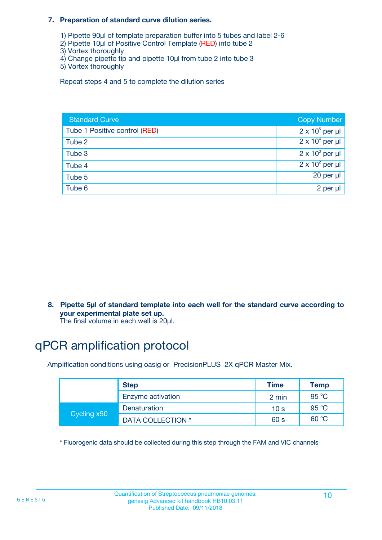#### **7. Preparation of standard curve dilution series.**

- 1) Pipette 90µl of template preparation buffer into 5 tubes and label 2-6
- 2) Pipette 10µl of Positive Control Template (RED) into tube 2
- 3) Vortex thoroughly
- 4) Change pipette tip and pipette 10µl from tube 2 into tube 3
- 5) Vortex thoroughly

Repeat steps 4 and 5 to complete the dilution series

| <b>Standard Curve</b>         | <b>Copy Number</b>     |
|-------------------------------|------------------------|
| Tube 1 Positive control (RED) | $2 \times 10^5$ per µl |
| Tube 2                        | $2 \times 10^4$ per µl |
| Tube 3                        | $2 \times 10^3$ per µl |
| Tube 4                        | $2 \times 10^2$ per µl |
| Tube 5                        | 20 per µl              |
| Tube 6                        | 2 per µl               |

**8. Pipette 5µl of standard template into each well for the standard curve according to your experimental plate set up.**

#### The final volume in each well is 20µl.

# qPCR amplification protocol

Amplification conditions using oasig or PrecisionPLUS 2X qPCR Master Mix.

|             | <b>Step</b>       | <b>Time</b>     | Temp    |
|-------------|-------------------|-----------------|---------|
|             | Enzyme activation | 2 min           | 95 °C   |
| Cycling x50 | Denaturation      | 10 <sub>s</sub> | 95 $°C$ |
|             | DATA COLLECTION * | 60 s            | 60 °C   |

\* Fluorogenic data should be collected during this step through the FAM and VIC channels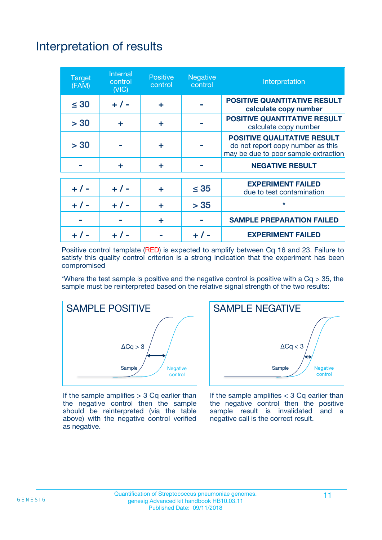# Interpretation of results

| <b>Target</b><br>(FAM) | Internal<br>control<br>(NIC) | <b>Positive</b><br>control | <b>Negative</b><br>control | Interpretation                                                                                                  |
|------------------------|------------------------------|----------------------------|----------------------------|-----------------------------------------------------------------------------------------------------------------|
| $\leq 30$              | $+ 1 -$                      | ÷                          |                            | <b>POSITIVE QUANTITATIVE RESULT</b><br>calculate copy number                                                    |
| > 30                   | ÷                            | ÷                          |                            | <b>POSITIVE QUANTITATIVE RESULT</b><br>calculate copy number                                                    |
| > 30                   |                              | ÷                          |                            | <b>POSITIVE QUALITATIVE RESULT</b><br>do not report copy number as this<br>may be due to poor sample extraction |
|                        | ÷                            | ÷                          |                            | <b>NEGATIVE RESULT</b>                                                                                          |
| $+ 1 -$                | $+ 1 -$                      | ÷                          | $\leq 35$                  | <b>EXPERIMENT FAILED</b><br>due to test contamination                                                           |
|                        | $+$ / -                      | ÷                          | > 35                       | $\star$                                                                                                         |
|                        |                              | ÷                          |                            | <b>SAMPLE PREPARATION FAILED</b>                                                                                |
|                        |                              |                            |                            | <b>EXPERIMENT FAILED</b>                                                                                        |

Positive control template (RED) is expected to amplify between Cq 16 and 23. Failure to satisfy this quality control criterion is a strong indication that the experiment has been compromised

\*Where the test sample is positive and the negative control is positive with a  $Cq > 35$ , the sample must be reinterpreted based on the relative signal strength of the two results:



If the sample amplifies  $> 3$  Cq earlier than the negative control then the sample should be reinterpreted (via the table above) with the negative control verified as negative.



If the sample amplifies  $<$  3 Cq earlier than the negative control then the positive sample result is invalidated and a negative call is the correct result.